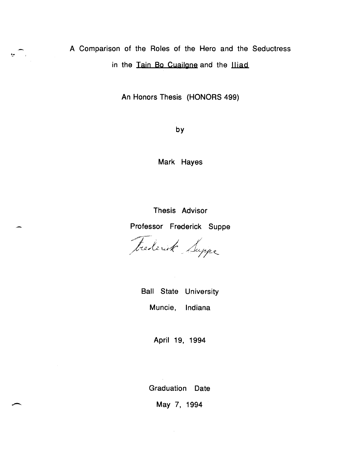A Comparison of the Roles of the Hero and the Seductress in the Tain Bo Cuailone and the lliad

ران البيع

An Honors Thesis (HONORS 499)

by

Mark Hayes

Thesis Advisor Professor Frederick Suppe

 $\sqrt{ }$ ,fo~0><-;;' *..* ~/;T<-e..

Ball State University Muncie, Indiana

April 19, 1994

Graduation Date

May 7, 1994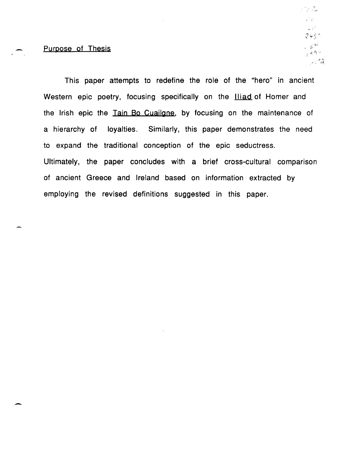### Purpose of Thesis

-

r 10 de  $\mathcal{L} \rightarrow \mathcal{L}$  $2450$ الملايين  $, 49 -$ - - 9

This paper attempts to redefine the role of the "hero" in ancient Western epic poetry, focusing specifically on the **Iliad** of Homer and the Irish epic the Tain Bo Cuailone, by focusing on the maintenance of a hierarchy of loyalties. Similarly, this paper demonstrates the need to expand the traditional conception of the epic seductress. Ultimately, the paper concludes with a brief cross-cultural comparison of ancient Greece and Ireland based on information extracted by employing the revised definitions suggested in this paper.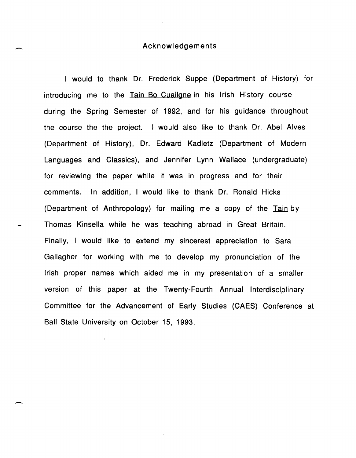### Acknowledgements

I would to thank Dr. Frederick Suppe (Department of History) for introducing me to the Tain Bo Cuailane in his Irish History course during the Spring Semester of 1992, and for his guidance throughout the course the the project. I would also like to thank Dr. Abel Alves (Department of History), Dr. Edward Kadletz (Department of Modern Languages and Classics), and Jennifer Lynn Wallace (undergraduate) for reviewing the paper while it was in progress and for their comments. In addition, I would like to thank Dr. Ronald Hicks (Department of Anthropology) for mailing me a copy of the Tain by Thomas Kinsella while he was teaching abroad in Great Britain. Finally, I would like to extend my sincerest appreciation to Sara Gallagher for working with me to develop my pronunciation of the Irish proper names which aided me in my presentation of a smaller version of this paper at the Twenty-Fourth Annual Interdisciplinary Committee for the Advancement of Early Studies (CAES) Conference at Ball State University on October 15, 1993.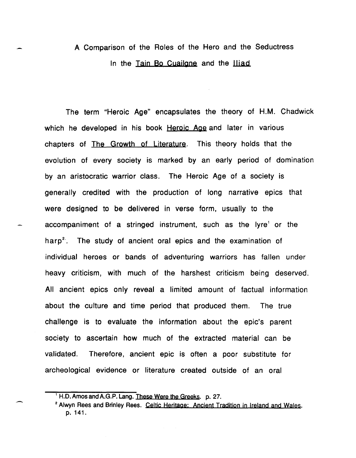## A Comparison of the Roles of the Hero and the Seductress In the Tain Bo Cuailone and the Iliad

The term "Heroic Age" encapsulates the theory of H.M. Chadwick which he developed in his book Heroic Age and later in various chapters of The Growth of Literature. This theory holds that the evolution of every society is marked by an early period of domination by an aristocratic warrior class. The Heroic Age of a society is generally credited with the production of long narrative epics that were designed to be delivered in verse form, usually to the accompaniment of a stringed instrument, such as the lyre<sup>1</sup> or the harp<sup>2</sup>. The study of ancient oral epics and the examination of individual heroes or bands of adventuring warriors has fallen under heavy criticism, with much of the harshest criticism being deserved. All ancient epics only reveal a limited amount of factual information about the culture and time period that produced them. The true challenge is to evaluate the information about the epic's parent society to ascertain how much of the extracted material can be validated. Therefore, ancient epic is often a poor substitute for archeological evidence or literature created outside of an oral

. -

<sup>&</sup>lt;sup>1</sup> H.D. Amos and A.G.P. Lang. These Were the Greeks. p. 27.

<sup>&</sup>lt;sup>2</sup> Alwyn Rees and Brinley Rees. Celtic Heritage: Ancient Tradition in Ireland and Wales. p. 141.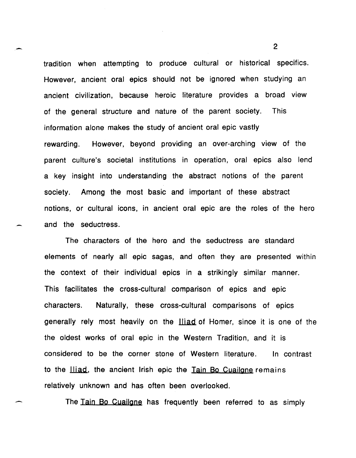tradition when attempting to produce cultural or historical specifics. However, ancient oral epics should not be ignored when studying an ancient civilization, because heroic literature provides a broad view of the general structure and nature of the parent society. This information alone makes the study of ancient oral epic vastly rewarding. However, beyond providing an over-arching view of the parent culture's societal institutions in operation, oral epics also lend a key insight into understanding the abstract notions of the parent society. Among the most basic and important of these abstract notions, or cultural icons, in ancient oral epic are the roles of the hero and the seductress.

,-

-

The characters of the hero and the seductress are standard elements of nearly all epic sagas, and often they are presented within the context of their individual epics in a strikingly similar manner. This facilitates the cross-cultural comparison of epics and epic characters. Naturally, these cross-cultural comparisons of epics generally rely most heavily on the **lliad** of Homer, since it is one of the the oldest works of oral epic in the Western Tradition, and it is considered to be the corner stone of Western literature. In contrast to the Iliad, the ancient Irish epic the Tain Bo Cuailgne remains relatively unknown and has often been overlooked.

The Tain Bo Cuailone has frequently been referred to as simply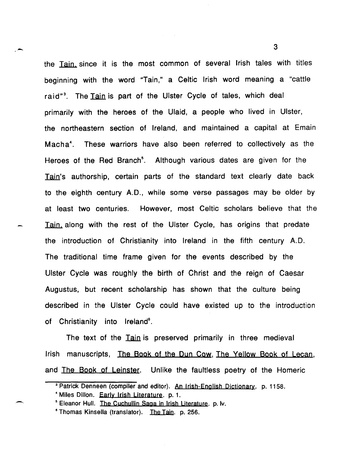the Tajn. since it is the most common of several Irish tales with titles beginning with the word "Tain," a Celtic Irish word meaning a "cattle raid"<sup>3</sup>. The Tain is part of the Ulster Cycle of tales, which deal primarily with the heroes of the Ulaid, a people who lived in Ulster, the northeastern section of Ireland, and maintained a capital at Emain Macha4 • These warriors have also been referred to collectively as the Heroes of the Red Branch<sup>5</sup>. Although various dates are given for the Tain's authorship, certain parts of the standard text clearly date back to the eighth century A.D., while some verse passages may be older by at least two centuries. However, most Celtic scholars believe that the Tain, along with the rest of the Ulster Cycle, has origins that predate the introduction of Christianity into Ireland in the fifth century A.D. The traditional time frame given for the events described by the Ulster Cycle was roughly the birth of Christ and the reign of Caesar Augustus, but recent scholarship has shown that the culture being described in the Ulster Cycle could have existed up to the introduction of Christianity into Ireland<sup>e</sup>.

The text of the Tain is preserved primarily in three medieval Irish manuscripts, The Book of the Dun Cow, The Yellow Book of Lecan, and The Book of Leinster. Unlike the faultless poetry of the Homeric

 $\sim$  3

<sup>&</sup>lt;sup>3</sup> Patrick Denneen (compiler and editor). An Irish-English Dictionary. p. 1158.

<sup>4</sup>Miles Dillon. Early Irish Literature. p. 1.

<sup>&</sup>lt;sup>5</sup> Eleanor Hull. The Cuchullin Saga in Irish Literature. p. lv.

<sup>&</sup>lt;sup>6</sup> Thomas Kinsella (translator). The Tain. p. 256.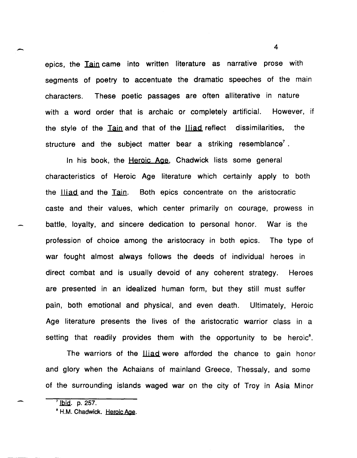epics, the Tain came into written literature as narrative prose with segments of poetry to accentuate the dramatic speeches of the main characters. These poetic passages are often alliterative in nature with a word order that is archaic or completely artificial. However, if the style of the Tain and that of the lliad reflect dissimilarities, the structure and the subject matter bear a striking resemblance<sup>7</sup>.

In his book, the Heroic Age, Chadwick lists some general characteristics of Heroic Age literature which certainly apply to both the Iliad and the Tain. Both epics concentrate on the aristocratic caste and their values, which center primarily on courage, prowess in battle, loyalty, and sincere dedication to personal honor. War is the profession of choice among the aristocracy in both epics. The type of war fought almost always follows the deeds of individual heroes in direct combat and is usually devoid of any coherent strategy. Heroes are presented in an idealized human form, but they still must suffer pain, both emotional and physical, and even death. Ultimately, Heroic Age literature presents the lives of the aristocratic warrior class in a setting that readily provides them with the opportunity to be heroic<sup>8</sup>.

The warriors of the **lliad** were afforded the chance to gain honor and glory when the Achaians of mainland Greece, Thessaly, and some of the surrounding islands waged war on the city of Troy in Asia Minor

 $\sqrt{7}$  lbid. p. 257.

<sup>&</sup>lt;sup>8</sup> H.M. Chadwick. Heroic Age.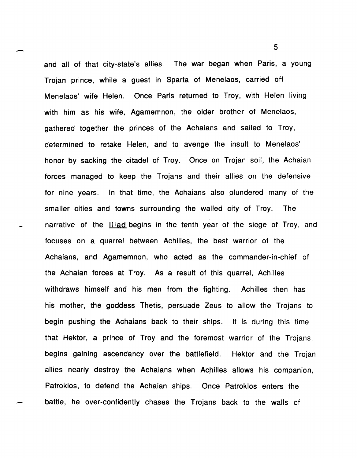$\sim$  5 and all of that city-state's allies. The war began when Paris, a young Trojan prince, while a guest in Sparta of Menelaos, carried off Menelaos' wife Helen. Once Paris returned to Troy, with Helen living with him as his wife, Agamemnon, the older brother of Menelaos, gathered together the princes of the Achaians and sailed to Troy, determined to retake Helen, and to avenge the insult to Menelaos' honor by sacking the citadel of Troy. Once on Trojan soil, the Achaian forces managed to keep the Trojans and their allies on the defensive for nine years. In that time, the Achaians also plundered many of the smaller cities and towns surrounding the walled city of Troy. The narrative of the **lliad** begins in the tenth year of the siege of Troy, and focuses on a quarrel between Achilles, the best warrior of the Achaians, and Agamemnon, who acted as the commander-in-chief of the Achaian forces at Troy. As a result of this quarrel, Achilles withdraws himself and his men from the fighting. Achilles then has his mother, the goddess Thetis, persuade Zeus to allow the Trojans to begin pushing the Achaians back to their ships. It is during this time that Hektor, a prince of Troy and the foremost warrior of the Trojans, begins gaining ascendancy over the battlefield. Hektor and the Trojan allies nearly destroy the Achaians when Achilles allows his companion, Patroklos, to defend the Achaian ships. Once Patroklos enters the battle, he over-confidently chases the Trojans back to the walls of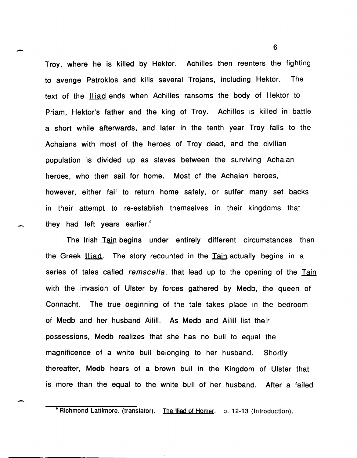Troy, where he is killed by Hektor. Achilles then reenters the fighting to avenge Patroklos and kills several Trojans, including Hektor. The text of the **Hiad** ends when Achilles ransoms the body of Hektor to Priam, Hektor's father and the king of Troy. Achilles is killed in battle a short while afterwards, and later in the tenth year Troy falls to the Achaians with most of the heroes of Troy dead, and the civilian population is divided up as slaves between the surviving Achaian heroes, who then sail for home. Most of the Achaian heroes, however, either fail to return home safely, or suffer many set backs in their attempt to re-establish themselves in their kingdoms that they had left years earlier.<sup>9</sup>

-

.-

The Irish Tain begins under entirely different circumstances than the Greek <u>Iliad</u>. The story recounted in the Tain actually begins in a series of tales called *remscella*, that lead up to the opening of the Tain with the invasion of Ulster by forces gathered by Medb, the queen of Connacht. The true beginning of the tale takes place in the bedroom of Medb and her husband Ailill. As Medb and Ailill list their possessions, Medb realizes that she has no bull to equal the magnificence of a white bull belonging to her husband. Shortly thereafter, Medb hears of a brown bull in the Kingdom of Ulster that is more than the equal to the white bull of her husband. After a failed

<sup>\*</sup> Richmond Lattimore. (translator). The Iliad of Homer. p. 12-13 (Introduction).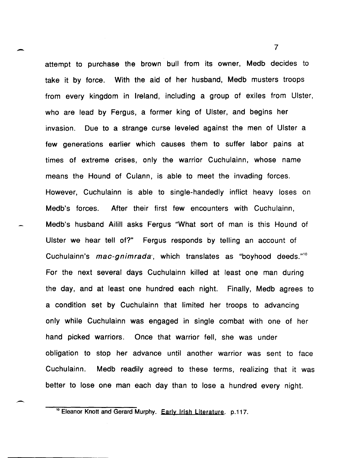attempt to purchase the brown bull from its owner, Medb decides to take it by force. With the aid of her husband, Medb musters troops from every kingdom in Ireland, including a group of exiles from Ulster, who are lead by Fergus, a former king of Ulster, and begins her invasion. Due to a strange curse leveled against the men of Ulster a few generations earlier which causes them to suffer labor pains at times of extreme crises, only the warrior Cuchulainn, whose name means the Hound of Culann, is able to meet the invading forces. However, Cuchulainn is able to single-handedly inflict heavy loses on Medb's forces. After their first few encounters with Cuchulainn, Medb's husband Ailill asks Fergus "What sort of man is this Hound of Ulster we hear tell of?" Fergus responds by telling an account of Cuchulainn's mac-gnimrada', which translates as "boyhood deeds."<sup>10</sup> For the next several days Cuchulainn killed at least one man during the day, and at least one hundred each night. Finally, Medb agrees to a condition set by Cuchulainn that limited her troops to advancing only while Cuchulainn was engaged in single combat with one of her hand picked warriors. Once that warrior fell, she was under obligation to stop her advance until another warrior was sent to face Cuchulainn. Medb readily agreed to these terms, realizing that it was better to lose one man each day than to lose a hundred every night.

 $\overline{\phantom{0}}$ 

-

<sup>&</sup>lt;sup>10</sup> Eleanor Knott and Gerard Murphy. Early Irish Literature. p.117.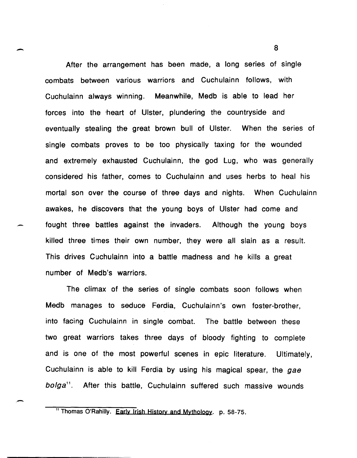After the arrangement has been made, a long series of single combats between various warriors and Cuchulainn follows, with Cuchulainn always winning. Meanwhile, Medb is able to lead her forces into the heart of Ulster, plundering the countryside and eventually stealing the great brown bull of Ulster. When the series of single combats proves to be too physically taxing for the wounded and extremely exhausted Cuchulainn, the god Lug, who was generally considered his father, comes to Cuchulainn and uses herbs to heal his mortal son over the course of three days and nights. When Cuchulainn awakes, he discovers that the young boys of Ulster had come and fought three battles against the invaders. Although the young boys killed three times their own number, they were all slain as a result. This drives Cuchulainn into a battle madness and he kills a great number of Medb's warriors.

 $\overline{\phantom{0}}$ 

 $\overline{\phantom{a}}$ 

The climax of the series of single combats soon follows when Medb manages to seduce Ferdia, Cuchulainn's own foster-brother, into facing Cuchulainn in single combat. The battle between these two great warriors takes three days of bloody fighting to complete and is one of the most powerful scenes in epic literature. Ultimately, Cuchulainn is able to kill Ferdia by using his magical spear, the gae bo/ga*<sup>11</sup> •* After this battle, Cuchulainn suffered such massive wounds

" Thomas O'Rahilly. Early Irish History and Mythology. p. 58-75.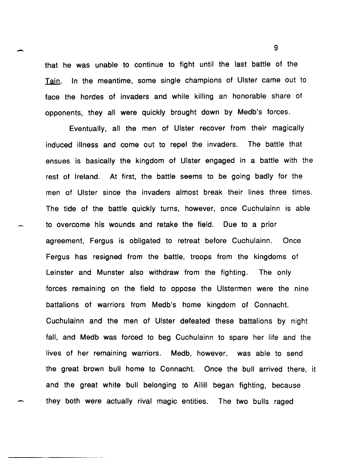that he was unable to continue to fight until the last battle of the Tain. In the meantime, some single champions of Ulster came out to face the hordes of invaders and while killing an honorable share of opponents, they all were quickly brought down by Medb's forces.

Eventually, all the men of Ulster recover from their magically induced illness and come out to repel the invaders. The battle that ensues is basically the kingdom of Ulster engaged in a battle with the rest of Ireland. At first, the battle seems to be going badly for the men of Ulster since the invaders almost break their lines three times. The tide of the battle quickly turns, however, once Cuchulainn is able to overcome his wounds and retake the field. Due to a prior agreement, Fergus is obligated to retreat before Cuchulainn. Once Fergus has resigned from the battle, troops from the kingdoms of Leinster and Munster also withdraw from the fighting. The only forces remaining on the field to oppose the Ulstermen were the nine battalions of warriors from Medb's home kingdom of Connacht. Cuchulainn and the men of Ulster defeated these battalions by night fall, and Medb was forced to beg Cuchulainn to spare her life and the lives of her remaining warriors. Medb, however, was able to send the great brown bull home to Connacht. Once the bull arrived there, it and the great white bull belonging to Ailill began fighting, because they both were actually rival magic entities. The two bulls raged

 $\sim$  9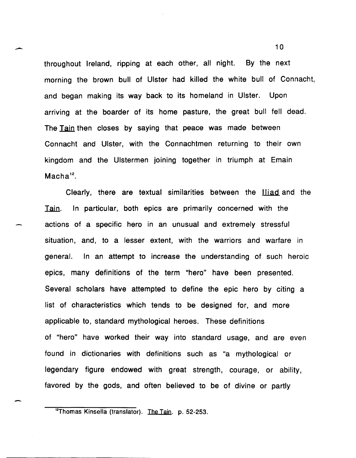throughout Ireland, ripping at each other, all night. By the next morning the brown bull of Ulster had killed the white bull of Connacht, and began making its way back to its homeland in Ulster. Upon arriving at the boarder of its home pasture, the great bull fell dead. The Tain then closes by saying that peace was made between Connacht and Ulster, with the Connachtmen returning to their own kingdom and the Ulstermen joining together in triumph at Emain  $Macha<sup>12</sup>$ .

-

-

Clearly, there are textual similarities between the lliad and the Tain. In particular, both epics are primarily concerned with the actions of a specific hero in an unusual and extremely stressful situation, and, to a lesser extent, with the warriors and warfare in general. In an attempt to increase the understanding of such heroic epics, many definitions of the term "hero" have been presented. Several scholars have attempted to define the epic hero by citing a list of characteristics which tends to be designed for, and more applicable to, standard mythological heroes. These definitions of "hero" have worked their way into standard usage, and are even found in dictionaries with definitions such as "a mythological or legendary figure endowed with great strength, courage, or ability, favored by the gods, and often believed to be of divine or partly

<sup>&</sup>lt;sup>12</sup>Thomas Kinsella (translator). The Tain. p. 52-253.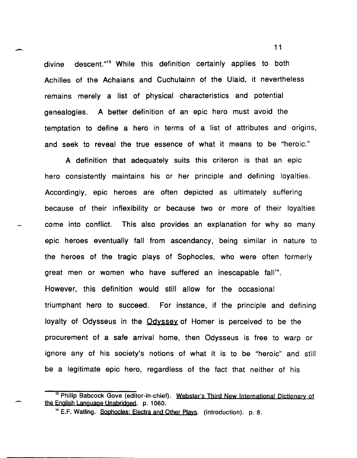$\sim$  11 divine descent."<sup>13</sup> While this definition certainly applies to both Achilles of the Achaians and Cuchulainn of the Ulaid, it nevertheless remains merely a list of physical characteristics and potential genealogies. A better definition of an epic hero must avoid the temptation to define a hero in terms of a list of attributes and origins, and seek to reveal the true essence of what it means to be "heroic."

A definition that adequately suits this criteron is that an epic hero consistently maintains his or her principle and defining loyalties. Accordingly, epic heroes are often depicted as ultimately suffering because of their inflexibility or because two or more of their loyalties come into conflict. This also provides an explanation for why so many epic heroes eventually fall from ascendancy, being similar in nature to the heroes of the tragic plays of Sophocles, who were often formerly great men or women who have suffered an inescapable fall<sup>14</sup>. However, this definition would still allow for the occasional triumphant hero to succeed. For instance, if the principle and defining loyalty of Odysseus in the Odyssey of Homer is perceived to be the procurement of a safe arrival home, then Odysseus is free to warp or ignore any of his society's notions of what it is to be "heroic" and still be a legitimate epic hero, regardless of the fact that neither of his

<sup>&</sup>lt;sup>13</sup> Philip Babcock Gove (editor-in-chief). Webster's Third New International Dictionary of the English Language Unabrjdged. p. 1060.

<sup>14</sup> E.F. Watling. Sophocles; Electra and Other Plays. (introduction). p. 8.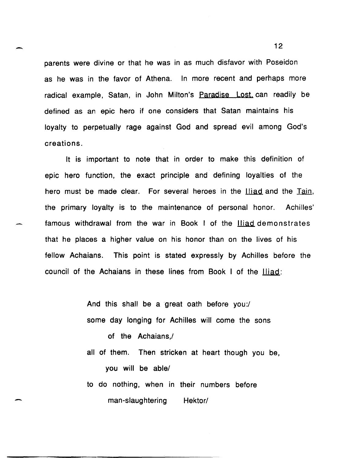parents were divine or that he was in as much disfavor with Poseidon as he was in the favor of Athena. In more recent and perhaps more radical example, Satan, in John Milton's Paradise Lost. can readily be defined as an epic hero if one considers that Satan maintains his loyalty to perpetually rage against God and spread evil among God's creations.

-

-

It is important to note that in order to make this definition of epic hero function, the exact principle and defining loyalties of the hero must be made clear. For several heroes in the lliad and the Tain, the primary loyalty is to the maintenance of personal honor. Achilles' famous withdrawal from the war in Book I of the Iliad demonstrates that he places a higher value on his honor than on the lives of his fellow Achaians. This point is stated expressly by Achilles before the council of the Achaians in these lines from Book I of the Iliad:

> And this shall be a great oath before you:/ some day longing for Achilles will come the sons of the Achaians,/

all of them. Then stricken at heart though you be, you will be able/

to do nothing, when in their numbers before man-slaughtering Hektor/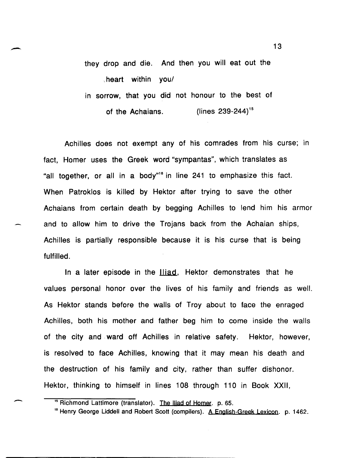they drop and die. And then you will eat out the . heart within youl in sorrow, that you did not honour to the best of

of the Achaians. (lines 239-244)<sup>15</sup>

Achilles does not exempt any of his comrades from his curse; in fact, Homer uses the Greek word "sympantas", which translates as "all together, or all in a body"<sup>16</sup> in line 241 to emphasize this fact. When Patroklos is killed by Hektor after trying to save the other Achaians from certain death by begging Achilles to lend him his armor and to allow him to drive the Trojans back from the Achaian ships, Achilles is partially responsible because it is his curse that is being fulfilled.

In a later episode in the **Hiad**, Hektor demonstrates that he values personal honor over the lives of his family and friends as well. As Hektor stands before the walls of Troy about to face the enraged Achilles, both his mother and father beg him to come inside the walls of the city and ward off Achilles in relative safety. Hektor, however, is resolved to face Achilles, knowing that it may mean his death and the destruction of his family and city, rather than suffer dishonor. Hektor, thinking to himself in lines 108 through 110 in Book XXII,

<sup>&</sup>lt;sup>15</sup> Richmond Lattimore (translator). The Iliad of Homer. p. 65.

<sup>&</sup>lt;sup>16</sup> Henry George Liddell and Robert Scott (compilers). A English-Greek Lexicon. p. 1462.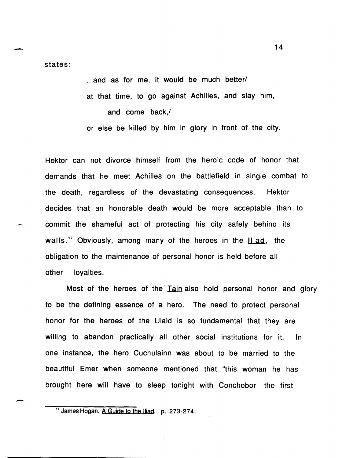- states:

-

... and as for me, it would be much better/ at that time, to go against Achilles, and slay him, and come back,/

or else be killed by him in glory in front of the city.

Hektor can not divorce himself from the heroic code of honor that demands that he meet Achilles on the battlefield in single combat to the death, regardless of the devastating consequences. Hektor decides that an honorable death would be more acceptable than to commit the shameful act of protecting his city safely behind its walls.<sup>17</sup> Obviously, among many of the heroes in the **Iliad**, the obligation to the maintenance of personal honor is held before all other loyalties.

Most of the heroes of the Tain also hold personal honor and glory to be the defining essence of a hero. The need to protect personal honor for the heroes of the Ulaid is so fundamental that they are willing to abandon practically all other social institutions for it. In one instance, the hero Cuchulainn was about to be married to the beautiful Emer when someone mentioned that "this woman he has brought here will have to sleep tonight with Conchobor -the first

<sup>&</sup>lt;sup>17</sup> James Hogan. A Guide to the Iliad. p. 273-274.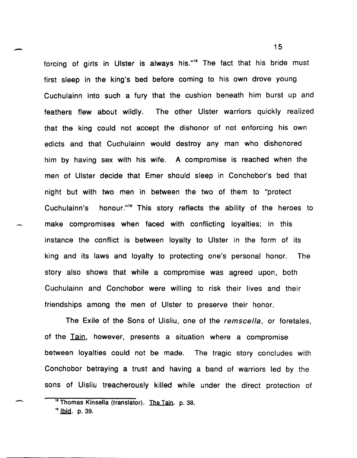forcing of girls in Ulster is always his."<sup>18</sup> The fact that his bride must first sleep in the king's bed before coming to his own drove young Cuchulainn into such a fury that the cushion beneath him burst up and feathers flew about wildly. The other Ulster warriors quickly realized that the king could not accept the dishonor of not enforcing his own edicts and that Cuchulainn would destroy any man who dishonored him by having sex with his wife. A compromise is reached when the men of Ulster decide that Emer should sleep in Conchobor's bed that night but with two men in between the two of them to "protect Cuchulainn's honour."19 This story reflects the ability of the heroes to make compromises when faced with conflicting loyalties; in this instance the conflict is between loyalty to Ulster in the form of its king and its laws and loyalty to protecting one's personal honor. The story also shows that while a compromise was agreed upon, both Cuchulainn and Conchobor were willing to risk their lives and their friendships among the men of Ulster to preserve their honor.

The Exile of the Sons of Uisliu, one of the remscella, or foretales, of the Tain, however, presents a situation where a compromise between loyalties could not be made. The tragic story concludes with Conchobor betraying a trust and having a band of warriors led by the sons of Uisliu treacherously killed while under the direct protection of

-

-

<sup>&</sup>lt;sup>18</sup> Thomas Kinsella (translator). The Tain. p. 38.

<sup>&</sup>lt;sup>19</sup> lbid. p. 39.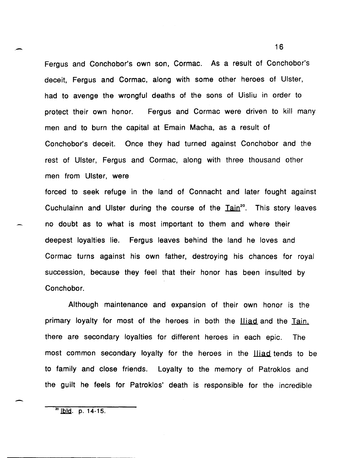Fergus and Conchobor's own son, Cormac. As a result of Conchobor's deceit, Fergus and Cormac, along with some other heroes of Ulster, had to avenge the wrongful deaths of the sons of Uisliu in order to protect their own honor. Fergus and Cormac were driven to kill many men and to burn the capital at Emain Macha, as a result of Conchobor's deceit. Once they had turned against Conchobor and the rest of Ulster, Fergus and Cormac, along with three thousand other men from Ulster, were

forced to seek refuge in the land of Connacht and later fought against Cuchulainn and Ulster during the course of the  $Iain^{20}$ . This story leaves no doubt as to what is most important to them and where their deepest loyalties lie. Fergus leaves behind the land he loves and Cormac turns against his own father, destroying his chances for royal succession, because they feel that their honor has been insulted by Conchobor.

Although maintenance and expansion of their own honor is the primary loyalty for most of the heroes in both the **Hiad** and the Tain. there are secondary loyalties for different heroes in each epic. The most common secondary loyalty for the heroes in the **Hiad** tends to be to family and close friends. Loyalty to the memory of Patroklos and the guilt he feels for Patroklos' death is responsible for the incredible

 $^{20}$  lbid. p. 14-15.

-

,-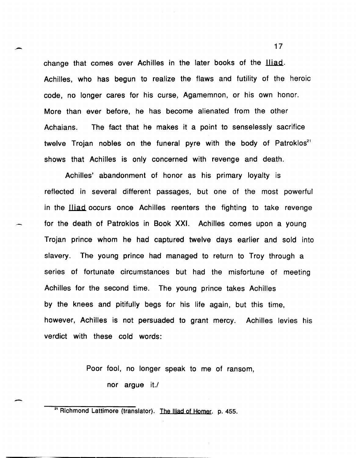change that comes over Achilles in the later books of the **Iliad**. Achilles, who has begun to realize the flaws and futility of the heroic code, no longer cares for his curse, Agamemnon, or his own honor. More than ever before, he has become alienated from the other Achaians. The fact that he makes it a point to senselessly sacrifice twelve Trojan nobles on the funeral pyre with the body of Patroklos<sup>21</sup> shows that Achilles is only concerned with revenge and death.

,-

-

Achilles' abandonment of honor as his primary loyalty is reflected in several different passages, but one of the most powerful in the **Iliad** occurs once Achilles reenters the fighting to take revenge for the death of Patroklos in Book XXI. Achilles comes upon a young Trojan prince whom he had captured twelve days earlier and sold into slavery. The young prince had managed to return to Troy through a series of fortunate circumstances but had the misfortune of meeting Achilles for the second time. The young prince takes Achilles by the knees and pitifully begs for his life again, but this time, however, Achilles is not persuaded to grant mercy. Achilles levies his verdict with these cold words:

> Poor fool, no longer speak to me of ransom, nor argue it./

<sup>21</sup> Richmond Lattimore (translator). The Iliad of Homer. p. 455.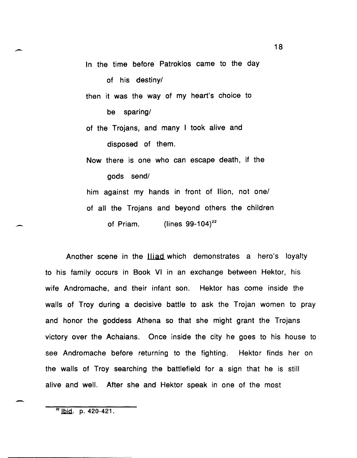In the time before Patroklos came to the day

of his destiny/

then it was the way of my heart's choice to

be sparing/

of the Trojans, and many I took alive and disposed of them.

Now there is one who can escape death, if the gods send!

him against my hands in front of Ilion, not one/ of all the Trojans and beyond others the children of Priam.  $\left(\frac{\text{lines }99-104}{2}\right)^{22}$ 

Another scene in the **lliad** which demonstrates a hero's loyalty to his family occurs in Book VI in an exchange between Hektor, his wife Andromache, and their infant son. Hektor has come inside the walls of Troy during a decisive battle to ask the Trojan women to pray and honor the goddess Athena so that she might grant the Trojans victory over the Achaians. Once inside the city he goes to his house to see Andromache before returning to the fighting. Hektor finds her on the walls of Troy searching the battlefield for a sign that he is still alive and well. After she and Hektor speak in one of the most

 $22$  lbid. p. 420-421.

-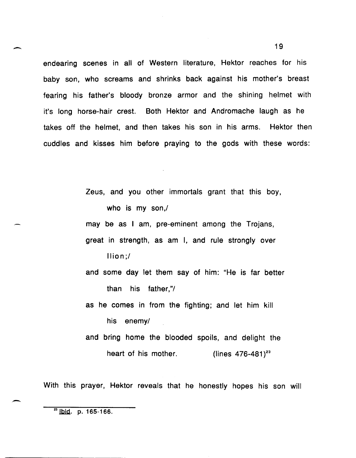endearing scenes in all of Western literature, Hektor reaches for his baby son, who screams and shrinks back against his mother's breast fearing his father's bloody bronze armor and the shining helmet with it's long horse-hair crest. Both Hektor and Andromache laugh as he takes off the helmet, and then takes his son in his arms. Hektor then cuddles and kisses him before praying to the gods with these words:

> Zeus, and you other immortals grant that this boy, who is my son,/ may be as I am, pre-eminent among the Trojans, great in strength, as am I, and rule strongly over

> > Ilion;!

and some day let them say of him: "He is far better than his father,"/

as he comes in from the fighting; and let him kill his enemy/

and bring home the blooded spoils, and delight the heart of his mother. (lines  $476-481$ <sup>23</sup>

With this prayer, Hektor reveals that he honestly hopes his son will

-

 $23$  | bid. p. 165-166.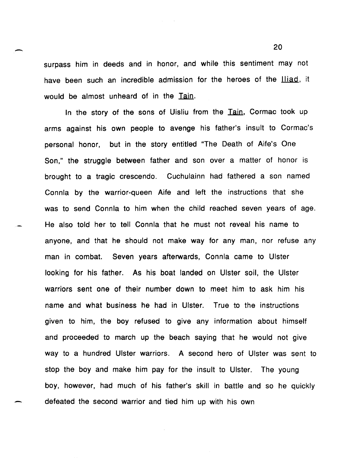surpass him in deeds and in honor, and while this sentiment may not have been such an incredible admission for the heroes of the *lliad*, it would be almost unheard of in the Tain.

In the story of the sons of Uisliu from the Tain, Cormac took up arms against his own people to avenge his father's insult to Cormac's personal honor, but in the story entitled "The Death of Aife's One Son," the struggle between father and son over a matter of honor is brought to a tragic crescendo. Cuchulainn had fathered a son named Connla by the warrior-queen Aife and left the instructions that she was to send Connla to him when the child reached seven years of age. He also told her to tell Connla that he must not reveal his name to anyone, and that he should not make way for any man, nor refuse any man in combat. Seven years afterwards, Connla came to Ulster looking for his father. As his boat landed on Ulster soil, the Ulster warriors sent one of their number down to meet him to ask him his name and what business he had in Ulster. True to the instructions given to him, the boy refused to give any information about himself and proceeded to march up the beach saying that he would not give way to a hundred Ulster warriors. A second hero of Ulster was sent to stop the boy and make him pay for the insult to Ulster. The young boy, however, had much of his father's skill in battle and so he quickly defeated the second warrior and tied him up with his own

 $\sim$  20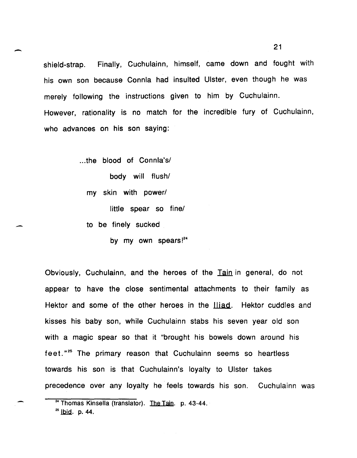shield-strap. Finally, Cuchulainn, himself, came down and fought with his own son because Connla had insulted Ulster, even though he was merely following the instructions given to him by Cuchulainn. However, rationality is no match for the incredible fury of Cuchulainn, who advances on his son saying:

> ... the blood of Connla's/ body will flush/ my skin with power/ little spear so fine/ to be finely sucked

> > by my own spears!<sup>24</sup>

Obviously, Cuchulainn, and the heroes of the Tain in general, do not appear to have the close sentimental attachments to their family as Hektor and some of the other heroes in the Iliad. Hektor cuddles and kisses his baby son, while Cuchulainn stabs his seven year old son with a magic spear so that it "brought his bowels down around his feet."<sup>25</sup> The primary reason that Cuchulainn seems so heartless towards his son is that Cuchulainn's loyalty to Ulster takes precedence over any loyalty he feels towards his son. Cuchulainn was

-

,-

<sup>&</sup>lt;sup>24</sup> Thomas Kinsella (translator). The Tain. p. 43-44.

 $^{25}$  lbid. p. 44.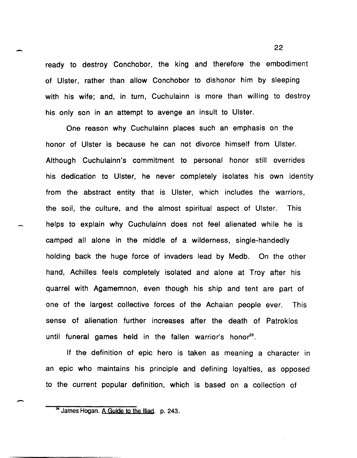ready to destroy Conchobor, the king and therefore the embodiment of Ulster, rather than allow Conchobor to dishonor him by sleeping with his wife; and, in turn, Cuchulainn is more than willing to destroy his only son in an attempt to avenge an insult to Ulster.

-

-

One reason why Cuchulainn places such an emphasis on the honor of Ulster is because he can not divorce himself from Ulster. Although Cuchulainn's commitment to personal honor still overrides his dedication to Ulster, he never completely isolates his own identity from the abstract entity that is Ulster, which includes the warriors, the soil, the culture, and the almost spiritual aspect of Ulster. This helps to explain why Cuchulainn does not feel alienated while he is camped all alone in the middle of a wilderness, single-handedly holding back the huge force of invaders lead by Medb. On the other hand, Achilles feels completely isolated and alone at Troy after his quarrel with Agamemnon, even though his ship and tent are part of one of the largest collective forces of the Achaian people ever. This sense of alienation further increases after the death of Patroklos until funeral games held in the fallen warrior's honor<sup>26</sup>.

If the definition of epic hero is taken as meaning a character in an epic who maintains his principle and defining loyalties, as opposed to the current popular definition, which is based on a collection of

<sup>&</sup>lt;sup>26</sup> James Hogan. A Guide to the Iliad. p. 243.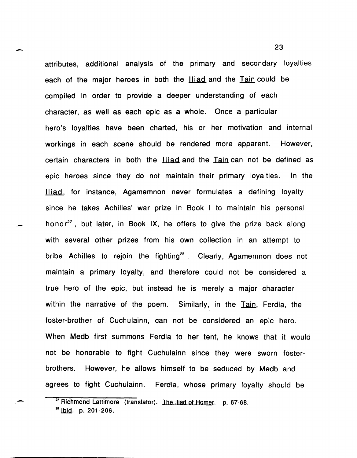attributes, additional analysis of the primary and secondary loyalties each of the major heroes in both the Iliad and the Tain could be compiled in order to provide a deeper understanding of each character, as well as each epic as a whole. Once a particular hero's loyalties have been charted, his or her motivation and internal workings in each scene should be rendered more apparent. However, certain characters in both the **Iliad and the Tain can not be defined** as epic heroes since they do not maintain their primary loyalties. In the Iliad, for instance, Agamemnon never formulates a defining loyalty since he takes Achilles' war prize in Book I to maintain his personal honor<sup>27</sup>, but later, in Book IX, he offers to give the prize back along with several other prizes from his own collection in an attempt to bribe Achilles to rejoin the fighting<sup>28</sup>. Clearly, Agamemnon does not maintain a primary loyalty, and therefore could not be considered a true hero of the epic, but instead he is merely a major character within the narrative of the poem. Similarly, in the Tain, Ferdia, the foster-brother of· Cuchulainn, can not be considered an epic hero. When Medb first summons Ferdia to her tent, he knows that it would not be honorable to fight Cuchulainn since they were sworn fosterbrothers. However, he allows himself to be seduced by Medb and agrees to fight Cuchulainn. Ferdia, whose primary loyalty should be

-

-

-

<sup>&</sup>lt;sup>27</sup> Richmond Lattimore (translator). The Iliad of Homer. p. 67-68.

 $^{28}$  lbid. p. 201-206.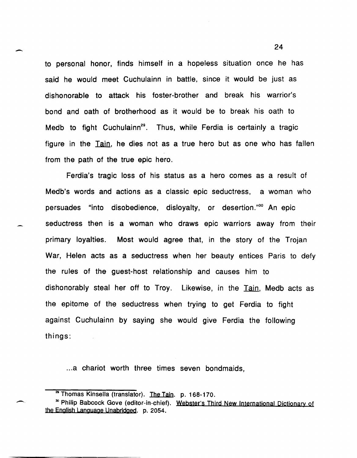to personal honor, finds himself in a hopeless situation once he has said he would meet Cuchulainn in battle, since it would be just as dishonorable to attack his foster-brother and break his warrior's bond and oath of brotherhood as it would be to break his oath to Medb to fight Cuchulainn<sup>29</sup>. Thus, while Ferdia is certainly a tragic figure in the Tain, he dies not as a true hero but as one who has fallen from the path of the true epic hero.

 $\overline{\phantom{a}}$ 

-.

Ferdia's tragic loss of his status as a hero comes as a result of Medb's words and actions as a classic epic seductress, a woman who persuades "into disobedience, disloyalty, or desertion."30 An epic seductress then is a woman who draws epic warriors away from their primary loyalties. Most would agree that, in the story of the Trojan War, Helen acts as a seductress when her beauty entices Paris to defy the rules of the guest-host relationship and causes him to dishonorably steal her off to Troy. Likewise, in the Tain, Medb acts as the epitome of the seductress when trying to get Ferdia to fight against Cuchulainn by saying she would give Ferdia the following things:

...a chariot worth three times seven bondmaids,

<sup>&</sup>lt;sup>2</sup> Thomas Kinsella (translator). The Tain. p. 168-170.

<sup>&</sup>lt;sup>30</sup> Philip Babcock Gove (editor-in-chief). Webster's Third New International Dictionary of the English Language Unabridged. p. 2054.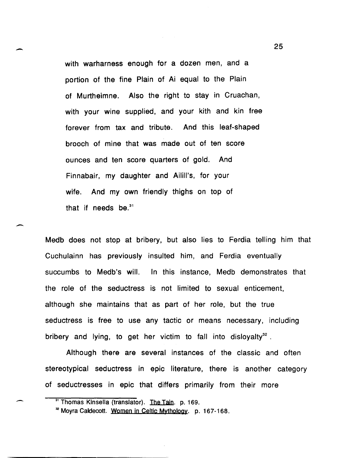with warharness enough for a dozen men, and a portion of the fine Plain of Ai equal to the Plain of Murtheimne. Also the right to stay in Cruachan, with your wine supplied, and your kith and kin free forever from tax and tribute. And this leaf-shaped brooch of mine that was made out of ten score ounces and ten score quarters of gold. And Finnabair, my daughter and Ailill's, for your wife. And my own friendly thighs on top of that if needs be. $31$ 

-

 $\overline{\phantom{0}}$ 

--

Medb does not stop at bribery, but also lies to Ferdia telling him that Cuchulainn has previously insulted him, and Ferdia eventually succumbs to Medb's will. In this instance, Medb demonstrates that the role of the seductress is not limited to sexual enticement, although she maintains that as part of her role, but the true seductress is free to use any tactic or means necessary, including bribery and lying, to get her victim to fall into disloyalty<sup>32</sup>.

Although there are several instances of the classic and often stereotypical seductress in epic literature, there is another category of seductresses in epic that differs primarily from their more

<sup>&</sup>lt;sup>31</sup> Thomas Kinsella (translator). The Tain. p. 169.

<sup>&</sup>lt;sup>32</sup> Moyra Caldecott. Women in Celtic Mythology. p. 167-168.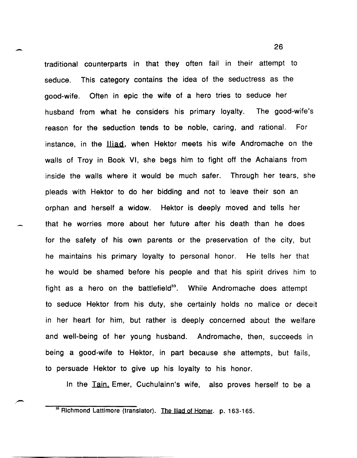$-$  26 traditional counterparts in that they often fail in their attempt to seduce. This category contains the idea of the seductress as the good-wife. Often in epic the wife of a hero tries to seduce her husband from what he considers his primary loyalty. The good-wife's reason for the seduction tends to be noble, caring, and rational. For instance, in the Iliad, when Hektor meets his wife Andromache on the walls of Troy in Book VI, she begs him to fight off the Achaians from inside the walls where it would be much safer. Through her tears, she pleads with Hektor to do her bidding and not to leave their son an orphan and herself a widow. Hektor is deeply moved and tells her that he worries more about her future after his death than he does for the safety of his own parents or the preservation of the city, but he maintains his primary loyalty to personal honor. He tells her that he would be shamed before his people and that his spirit drives him to fight as a hero on the battlefield<sup>33</sup>. While Andromache does attempt to seduce Hektor from his duty, she certainly holds no malice or deceit in her heart for him, but rather is deeply concerned about the welfare and well-being of her young husband. Andromache, then, succeeds in being a good-wife to Hektor, in part because she attempts, but fails, to persuade Hektor to give up his loyalty to his honor.

In the Tain. Emer, Cuchulainn's wife, also proves herself to be a

<sup>&</sup>lt;sup>33</sup> Richmond Lattimore (translator). The Iliad of Homer. p. 163-165.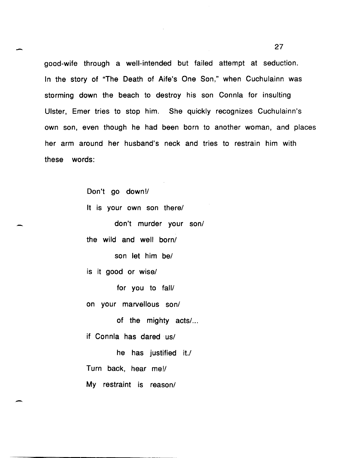good-wife through a well-intended but failed attempt at seduction. In the story of "The Death of Aife's One Son," when Cuchulainn was storming down the beach to destroy his son Connla for insulting Ulster, Emer tries to stop him. She quickly recognizes Cuchulainn's own son, even though he had been born to another woman, and places her arm around her husband's neck and tries to restrain him with these words:

> Don't go down!/ It is your own son there/

don't murder your son/

the wild and well born/

son let him be/

is it good or wise/

-

-

for you to fall/

on your marvellous son/

of the mighty acts/...

if Connla has dared us/

he has justified it./ Turn back, hear me!/ My restraint is reason/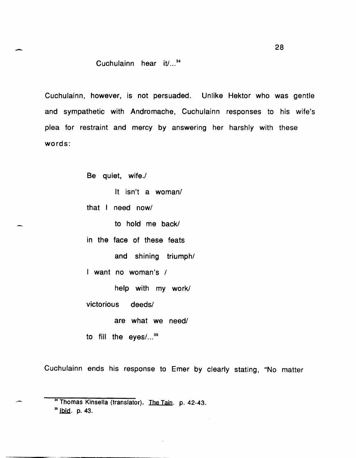# $-$  28 Cuchulainn hear  $\text{i}t$ ...<sup>34</sup>

Cuchulainn, however, is not persuaded. Unlike Hektor who was gentle and sympathetic with Andromache, Cuchulainn responses to his wife's plea for restraint and mercy by answering her harshly with these words:

Be quiet, wife./

It isn't a woman/

that I need now/

to hold me back/

in the face of these feats

and shining triumph/

I want no woman's /

help with my work/

victorious deeds/

are what we need/

to fill the eyes/ $\dots$ <sup>35</sup>

Cuchulainn ends his response to Emer by clearly stating, "No matter

<sup>&</sup>lt;sup>34</sup> Thomas Kinsella (translator). The Tain. p. 42-43.

 $35$  lbid. p. 43.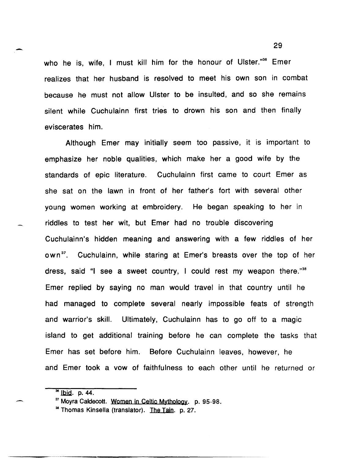who he is, wife, I must kill him for the honour of Ulster."<sup>36</sup> Emer realizes that her husband is resolved to meet his own son in combat because he must not allow Ulster to be insulted, and so she remains silent while Cuchulainn first tries to drown his son and then finally eviscerates him.

Although Emer may initially seem too passive, it is important to emphasize her noble qualities, which make her a good wife by the standards of epic literature. Cuchulainn first came to court Emer as she sat on the lawn in front of her father's fort with several other young women working at embroidery. He began speaking to her in riddles to test her wit, but Emer had no trouble discovering Cuchulainn's hidden meaning and answering with a few riddles of her own<sup>37</sup>. Cuchulainn, while staring at Emer's breasts over the top of her dress, said "I see a sweet country, I could rest my weapon there."38 Emer replied by saying no man would travel in that country until he had managed to complete several nearly impossible feats of strength and warrior's skill. Ultimately, Cuchulainn has to go off to a magic island to get additional training before he can complete the tasks that Emer has set before him. Before Cuchulainn leaves, however, he and Emer took a vow of faithfulness to each other until he returned or

 $36$  lbid. p. 44.

<sup>37</sup> Moyra Caldecott. Women in Celtic Mythology. p. 95-98.

<sup>&</sup>lt;sup>36</sup> Thomas Kinsella (translator). The Tain. p. 27.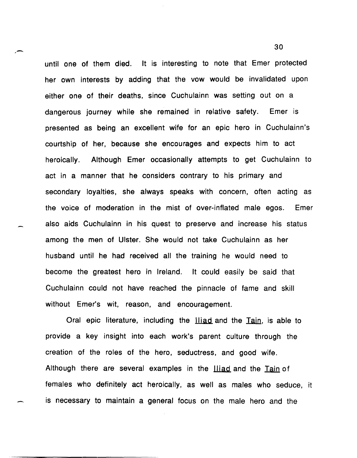until one of them died. It is interesting to note that Emer protected her own interests by adding that the vow would be invalidated upon either one of their deaths, since Cuchulainn was setting out on a dangerous journey while she remained in relative safety. Emer is presented as being an excellent wife for an epic hero in Cuchulainn's courtship of her, because she encourages and expects him to act heroically. Although Emer occasionally attempts to get Cuchulainn to act in a manner that he considers contrary to his primary and secondary loyalties, she always speaks with concern, often acting as the voice of moderation in the mist of over-inflated male egos. Emer also aids Cuchulainn in his quest to preserve and increase his status among the men of Ulster. She would not take Cuchulainn as her husband until he had received all the training he would need to become the greatest hero in Ireland. It could easily be said that Cuchulainn could not have reached the pinnacle of fame and skill without Emer's wit, reason, and encouragement.

Oral epic literature, including the Iliad and the Tain, is able to provide a key insight into each work's parent culture through the creation of the roles of the hero, seductress, and good wife. Although there are several examples in the **Iliad** and the Tain of females who definitely act heroically, as well as males who seduce, it is necessary to maintain a general focus on the male hero and the

 $\sim$  30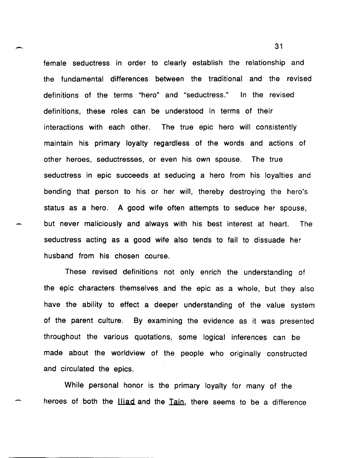female seductress in order to clearly establish the relationship and the fundamental differences between the traditional and the revised definitions of the terms "hero" and "seductress." In the revised definitions, these roles can be understood in terms of their interactions with each other. The true epic hero will consistently maintain his primary loyalty regardless of the words and actions of other heroes, seductresses, or even his own spouse. The true seductress in epic succeeds at seducing a hero from his loyalties and bending that person to his or her will, thereby destroying the hero's status as a hero. A good wife often attempts to seduce her spouse, but never maliciously and always with his best interest at heart. The seductress acting as a good wife also tends to fail to dissuade her husband from his chosen course.

These revised definitions not only enrich the understanding of the epic characters themselves and the epic as a whole, but they also have the ability to effect a deeper understanding of the value system of the parent culture. By examining the evidence as it was presented throughout the various quotations, some logical inferences can be made about the worldview of the people who originally constructed and circulated the epics.

While personal honor is the primary loyalty for many of the heroes of both the **lliad** and the Tain, there seems to be a difference

 $\sim$  31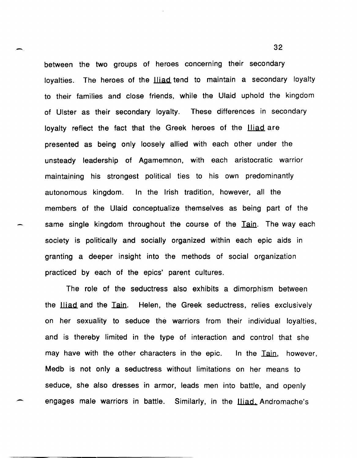between the two groups of heroes concerning their secondary loyalties. The heroes of the liiad tend to maintain a secondary loyalty to their families and close friends, while the Ulaid uphold the kingdom of Ulster as their secondary loyalty. These differences in secondary loyalty reflect the fact that the Greek heroes of the **Iliad** are presented as being only loosely allied with each other under the unsteady leadership of Agamemnon, with each aristocratic warrior maintaining his strongest political ties to his own predominantly autonomous kingdom. In the Irish tradition, however, all the members of the Ulaid conceptualize themselves as being part of the same single kingdom throughout the course of the Tain. The way each society is politically and socially organized within each epic aids in granting a deeper insight into the methods of social organization practiced by each of the epics' parent cultures.

The role of the seductress also exhibits a dimorphism between the **Iliad and the Tain.** Helen, the Greek seductress, relies exclusively on her sexuality to seduce the warriors from their individual loyalties, and is thereby limited in the type of interaction and control that she may have with the other characters in the epic. In the Tain, however, Medb is not only a seductress without limitations on her means to seduce, she also dresses in armor, leads men into battle, and openly engages male warriors in battle. Similarly, in the Iliad. Andromache's

-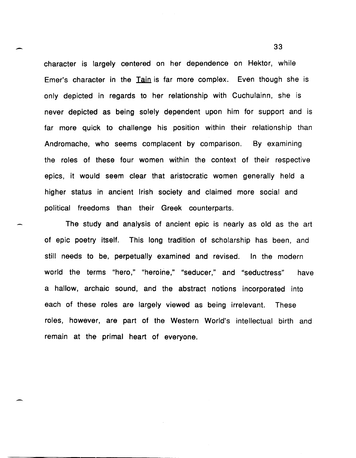character is largely centered on her dependence on Hektor, while Emer's character in the Tain is far more complex. Even though she is only depicted in regards to her relationship with Cuchulainn, she is never depicted as being solely dependent upon him for support and is far more quick to challenge his position within their relationship than Andromache, who seems complacent by comparison. By examining the roles of these four women within the context of their respective epics, it would seem clear that aristocratic women generally held a higher status in ancient Irish society and claimed more social and political freedoms than their Greek counterparts.

-

 $\overline{\phantom{0}}$ 

The study and analysis of ancient epic is nearly as old as the art of epic poetry itself. This long tradition of scholarship has been, and still needs to be, perpetually examined and revised. In the modern world the terms "hero," "heroine," "seducer," and "seductress" have a hallow, archaic sound, and the abstract notions incorporated into each of these roles are largely viewed as being irrelevant. These roles, however, are part of the Western World's intellectual birth and remain at the primal heart of everyone.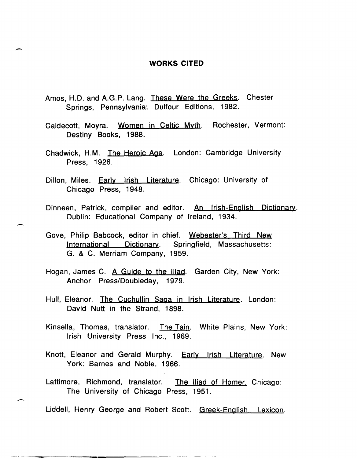### **WORKS CITED**

Amos, H.D. and A.G.P. Lang. These Were the Greeks. Chester Springs, Pennsylvania: Dulfour Editions, 1982.

-

-

 $\overline{\phantom{a}}$ 

- Caldecott, Moyra. Women in Celtic Myth. Rochester, Vermont: Destiny Books, 1988.
- Chadwick, H.M. The Heroic Age. London: Cambridge University Press, 1926.
- Dillon, Miles. Early Irish Literature. Chicago: University of Chicago Press, 1948.
- Dinneen, Patrick, compiler and editor. An Irish-English Dictionary. Dublin: Educational Company of Ireland, 1934.
- Gove, Philip Babcock, editor in chief. Webester's Third New International Dictionary. Springfield, Massachusetts: G. & C. Merriam Company, 1959.
- Hogan, James C. A Guide to the Iliad. Garden City, New York: Anchor Press/Doubleday, 1979.
- Hull, Eleanor. The Cuchullin Saga in Irish Literature. London: David Nutt in the Strand, 1898.
- Kinsella, Thomas, translator. The Tain. White Plains, New York: Irish University Press Inc., 1969.
- Knott, Eleanor and Gerald Murphy. Early Irish Literature. New York: Barnes and Noble, 1966.
- Lattimore, Richmond, translator. The Iliad of Homer. Chicago: The University of Chicago Press, 1951.
- Liddell, Henry George and Robert Scott. Greek-English Lexicon.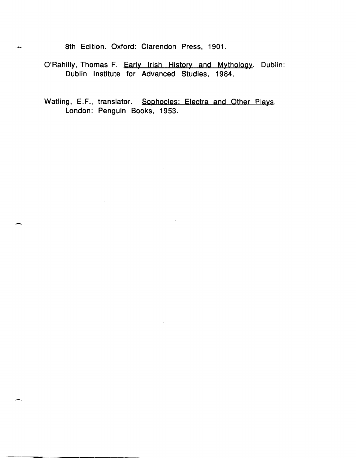8th Edition. Oxford: Clarendon Press, 1901.

- O'Rahilly, Thomas F. Early Irish History and Mythology. Dublin: Dublin Institute for Advanced Studies, 1984.
- Watling, E.F., translator. Sophocles: Electra and Other Plays. London: Penguin Books, 1953.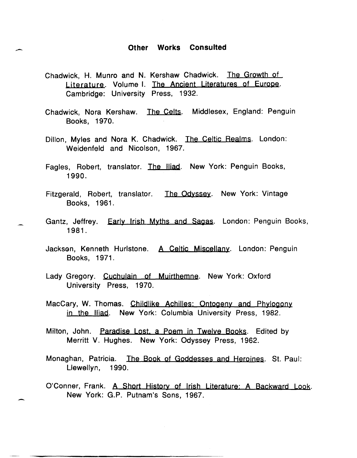#### **Other Works Consulted**

Chadwick, H. Munro and N. Kershaw Chadwick. The Growth of Literature. Volume I. The Ancient Literatures of Europe. Cambridge: University Press, 1932.

-

- Chadwick, Nora Kershaw. The Celts. Middlesex, England: Penguin Books, 1970.
- Dillon, Myles and Nora K. Chadwick. The Celtic Realms. London: Weidenfeld and Nicolson, 1967.
- Fagles, Robert, translator. The Iliad. New York: Penguin Books, 1990.
- Fitzgerald, Robert, translator. The Odyssey. New York: Vintage Books, 1961.
- Gantz, Jeffrey. Early Irish Myths and Sagas. London: Penguin Books, 1981.
- Jackson, Kenneth Hurlstone. A Celtic Miscellany. London: Penguin Books, 1971.
- Lady Gregory. Cuchulain of Muirthemne. New York: Oxford University Press, 1970.
- MacCary, W. Thomas. Childlike Achilles: Ontogeny and Phylogony in the Iliad. New York: Columbia University Press, 1982.
- Milton, John. Paradise Lost. a Poem in Twelye Books. Edited by Merritt V. Hughes. New York: Odyssey Press, 1962.
- Monaghan, Patricia. The Book of Goddesses and Heroines. St. Paul: Llewellyn, 1990.
- O'Conner, Frank. A Short History of Irish Literature: A Backward Look. New York: G.P. Putnam's Sons, 1967.